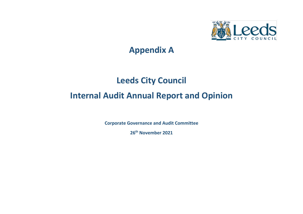

# **Appendix A**

# **Leeds City Council**

# **Internal Audit Annual Report and Opinion**

**Corporate Governance and Audit Committee**

**26 th November 2021**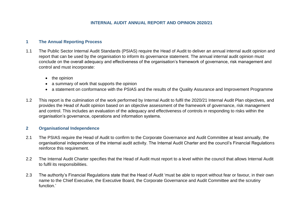# **1 The Annual Reporting Process**

- 1.1 The Public Sector Internal Audit Standards (PSIAS) require the Head of Audit to deliver an annual internal audit opinion and report that can be used by the organisation to inform its governance statement. The annual internal audit opinion must conclude on the overall adequacy and effectiveness of the organisation's framework of governance, risk management and control and must incorporate:
	- the opinion
	- a summary of work that supports the opinion
	- a statement on conformance with the PSIAS and the results of the Quality Assurance and Improvement Programme
- 1.2 This report is the culmination of the work performed by Internal Audit to fulfil the 2020/21 Internal Audit Plan objectives, and provides the Head of Audit opinion based on an objective assessment of the framework of governance, risk management and control. This includes an evaluation of the adequacy and effectiveness of controls in responding to risks within the organisation's governance, operations and information systems.

# **2 Organisational Independence**

- 2.1 The PSIAS require the Head of Audit to confirm to the Corporate Governance and Audit Committee at least annually, the organisational independence of the internal audit activity. The Internal Audit Charter and the council's Financial Regulations reinforce this requirement.
- 2.2 The Internal Audit Charter specifies that the Head of Audit must report to a level within the council that allows Internal Audit to fulfil its responsibilities.
- 2.3 The authority's Financial Regulations state that the Head of Audit 'must be able to report without fear or favour, in their own name to the Chief Executive, the Executive Board, the Corporate Governance and Audit Committee and the scrutiny function<sup>'</sup>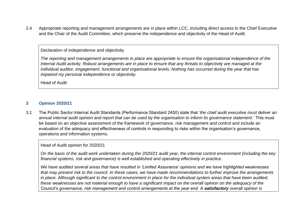2.4 Appropriate reporting and management arrangements are in place within LCC, including direct access to the Chief Executive and the Chair of the Audit Committee, which preserve the independence and objectivity of the Head of Audit.

# Declaration of independence and objectivity

*The reporting and management arrangements in place are appropriate to ensure the organisational independence of the Internal Audit activity. Robust arrangements are in place to ensure that any threats to objectivity are managed at the individual auditor, engagement, functional and organisational levels. Nothing has occurred during the year that has impaired my personal independence or objectivity.* 

Head of Audit

# **3 Opinion 2020/21**

3.1 The Public Sector Internal Audit Standards (Performance Standard 2450) state that '*the chief audit executive must deliver an annual internal audit opinion and report that can be used by the organisation to inform its governance statement*.' This must be based on an objective assessment of the framework of governance, risk management and control and include an evaluation of the adequacy and effectiveness of controls in responding to risks within the organisation's governance, operations and information systems.

#### Head of Audit opinion for 2020/21

*On the basis of the audit work undertaken during the 2020/21 audit year, the internal control environment (including the key financial systems, risk and governance) is well established and operating effectively in practice.* 

*We have audited several areas that have resulted in 'Limited Assurance' opinions and we have highlighted weaknesses that may present risk to the council. In these cases, we have made recommendations to further improve the arrangements in place. Although significant to the control environment in place for the individual system areas that have been audited, these weaknesses are not material enough to have a significant impact on the overall opinion on the adequacy of the Council's governance, risk management and control arrangements at the year end. A satisfactory overall opinion is*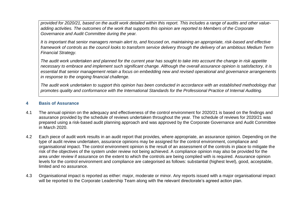*provided for 2020/21, based on the audit work detailed within this report. This includes a range of audits and other valueadding activities. The outcomes of the work that supports this opinion are reported to Members of the Corporate Governance and Audit Committee during the year.*

*It is important that senior managers remain alert to, and focused on, maintaining an appropriate, risk-based and effective framework of controls as the council looks to transform service delivery through the delivery of an ambitious Medium Term Financial Strategy.* 

*The audit work undertaken and planned for the current year has sought to take into account the change in risk appetite necessary to embrace and implement such significant change. Although the overall assurance opinion is satisfactory, it is essential that senior management retain a focus on embedding new and revised operational and governance arrangements in response to the ongoing financial challenge.*

*The audit work undertaken to support this opinion has been conducted in accordance with an established methodology that promotes quality and conformance with the International Standards for the Professional Practice of Internal Auditing.*

### **4 Basis of Assurance**

- 4.1 The annual opinion on the adequacy and effectiveness of the control environment for 2020/21 is based on the findings and assurance provided by the schedule of reviews undertaken throughout the year. The schedule of reviews for 2020/21 was prepared using a risk-based audit planning approach and was approved by the Corporate Governance and Audit Committee in March 2020.
- 4.2 Each piece of audit work results in an audit report that provides, where appropriate, an assurance opinion. Depending on the type of audit review undertaken, assurance opinions may be assigned for the control environment, compliance and organisational impact. The control environment opinion is the result of an assessment of the controls in place to mitigate the risk of the objectives of the system under review not being achieved. A compliance opinion may also be provided for the area under review if assurance on the extent to which the controls are being complied with is required. Assurance opinion levels for the control environment and compliance are categorised as follows: substantial (highest level), good, acceptable, limited and no assurance.
- 4.3 Organisational impact is reported as either: major, moderate or minor. Any reports issued with a major organisational impact will be reported to the Corporate Leadership Team along with the relevant directorate's agreed action plan.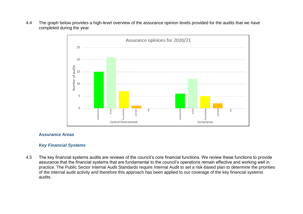4.4 The graph below provides a high-level overview of the assurance opinion levels provided for the audits that we have completed during the year.



#### **Assurance Areas**

### *Key Financial Systems*

4.5 The key financial systems audits are reviews of the council's core financial functions. We review these functions to provide assurance that the financial systems that are fundamental to the council's operations remain effective and working well in practice. The Public Sector Internal Audit Standards require Internal Audit to set a risk-based plan to determine the priorities of the internal audit activity and therefore this approach has been applied to our coverage of the key financial systems audits.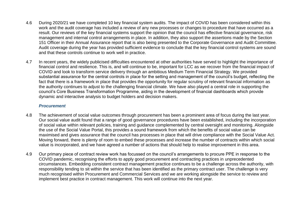- 4.6 During 2020/21 we have completed 10 key financial system audits. The impact of COVID has been considered within this work and the audit coverage has included a review of any new processes or changes to procedure that have occurred as a result. Our reviews of the key financial systems support the opinion that the council has effective financial governance, risk management and internal control arrangements in place. In addition, they also support the assertions made by the Section 151 Officer in their Annual Assurance report that is also being presented to the Corporate Governance and Audit Committee. Audit coverage during the year has provided sufficient evidence to conclude that the key financial control systems are sound and that these controls continue to work well in practice.
- 4.7 In recent years, the widely publicised difficulties encountered at other authorities have served to highlight the importance of financial control and resilience. This is, and will continue to be, important for LCC as we recover from the financial impact of COVID and look to transform service delivery through an ambitious Medium Term Financial Strategy. We provided substantial assurance for the central controls in place for the setting and management of the council's budget, reflecting the fact that there is a framework in place that provides the opportunity for regular scrutiny of relevant financial information as the authority continues to adjust to the challenging financial climate. We have also played a central role in supporting the council's Core Business Transformation Programme, aiding in the development of financial dashboards which provide dynamic and interactive analysis to budget holders and decision makers.

# *Procurement*

- 4.8 The achievement of social value outcomes through procurement has been a prominent area of focus during the last year. Our social value audit found that a range of good governance procedures have been established, including the incorporation of social value within relevant policies, training and guidance complemented by central oversight and monitoring. Alongside the use of the Social Value Portal, this provides a sound framework from which the benefits of social value can be maximised and gives assurance that the council has processes in place that will drive compliance with the Social Value Act. Moving forward, there is plenty of room to embed these processes and increase the number of contracts within which social value is incorporated, and we have agreed a number of actions that should help to realise improvement in this area.
- 4.9 Our primary piece of contract review work has focussed on the council's arrangements to procure PPE in response to the COVID pandemic, recognising the efforts to apply good procurement and contracting practices in unprecedented circumstances. Embedding consistent contract management practice continues to be a challenge across the authority, with responsibility tending to sit within the service that has been identified as the primary contract user. The challenge is very much recognised within Procurement and Commercial Services and we are working alongside the service to review and implement best practice in contract management. This work will continue into the next year.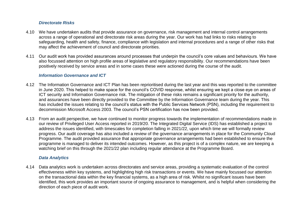## *Directorate Risks*

- 4.10 We have undertaken audits that provide assurance on governance, risk management and internal control arrangements across a range of operational and directorate risk areas during the year. Our work has had links to risks relating to safeguarding, health and safety, finance, compliance with legislation and internal procedures and a range of other risks that may affect the achievement of council and directorate priorities.
- 4.11 Our audit work has provided assurances around processes that underpin the council's core values and behaviours. We have also focussed attention on high profile areas of legislative and regulatory responsibility. Our recommendations have been positively received by service areas and in some cases these were actioned during the course of the audit.

#### *Information Governance and ICT*

- 4.12 The Information Governance and ICT Plan has been reprioritised during the last year and this was reported to the committee in June 2020. This helped to make space for the council's COVID response, whilst ensuring we kept a close eye on areas of ICT security and Information Governance risk. The mitigation of these risks remains a significant priority for the authority, and assurances have been directly provided to the Committee by the Information Governance team during the year. This has included the issues relating to the council's status with the Public Services Network (PSN), including the requirement to decommission Microsoft Access 2003. The council's PSN certification has now been provided.
- 4.13 From an audit perspective, we have continued to monitor progress towards the implementation of recommendations made in our review of Privileged User Access reported in 2019/20. The Integrated Digital Service (IDS) has established a project to address the issues identified, with timescales for completion falling in 2021/22, upon which time we will formally review progress. Our audit coverage has also included a review of the governance arrangements in place for the Community Cloud Programme. The audit provided assurance that appropriate governance arrangements had been established to ensure the programme is managed to deliver its intended outcomes. However, as this project is of a complex nature, we are keeping a watching brief on this through the 2021/22 plan including regular attendance at the Programme Board.

#### *Data Analytics*

4.14 Data analytics work is undertaken across directorates and service areas, providing a systematic evaluation of the control effectiveness within key systems, and highlighting high risk transactions or events. We have mainly focussed our attention on the transactional data within the key financial systems, as a high area of risk. Whilst no significant issues have been identified, this work provides an important source of ongoing assurance to management, and is helpful when considering the direction of each piece of audit work.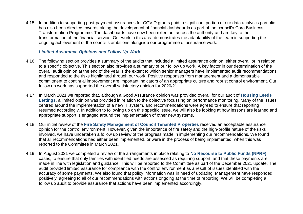4.15 In addition to supporting post-payment assurances for COVID grants paid, a significant portion of our data analytics portfolio has also been directed towards aiding the development of financial dashboards as part of the council's Core Business Transformation Programme. The dashboards have now been rolled out across the authority and are key to the transformation of the financial service. Our work in this area demonstrates the adaptability of the team in supporting the ongoing achievement of the council's ambitions alongside our programme of assurance work.

### *Limited Assurance Opinions and Follow Up Work*

- 4.16 The following section provides a summary of the audits that included a limited assurance opinion, either overall or in relation to a specific objective. This section also provides a summary of our follow up work. A key factor in our determination of the overall audit opinion at the end of the year is the extent to which senior managers have implemented audit recommendations and responded to the risks highlighted through our work. Positive responses from management and a demonstrable commitment to continual improvement are important indicators of an appropriate culture and robust control environment. Our follow up work has supported the overall satisfactory opinion for 2020/21.
- 4.17 In March 2021 we reported that, although a Good Assurance opinion was provided overall for our audit of **Housing Leeds Lettings**, a limited opinion was provided in relation to the objective focussing on performance monitoring. Many of the issues centred around the implementation of a new IT system, and recommendations were agreed to ensure that reporting resumed accordingly. In addition to following up on this specific issue, we will also be looking at how lessons are learned and appropriate support is engaged around the implementation of other new systems.
- 4.18 Our initial review of the **Fire Safety Management of Council Tenanted Properties** received an acceptable assurance opinion for the control environment. However, given the importance of fire safety and the high-profile nature of the risks involved, we have undertaken a follow up review of the progress made in implementing our recommendations. We found that all recommendations had either been implemented, or were in the process of being implemented, when this was reported to the Committee in March 2021.
- 4.19 In August 2021 we completed a review of the arrangements in place relating to **No Recourse to Public Funds (NPRF)** cases, to ensure that only families with identified needs are assessed as requiring support, and that these payments are made in line with legislation and guidance. This will be reported to the Committee as part of the December 2021 update. The audit provided limited assurance for compliance with the control environment as a result of issues identified with the accuracy of some payments. We also found that policy information was in need of updating. Management have responded positively, agreeing to all of our recommendations with actions ongoing at the time of reporting. We will be completing a follow up audit to provide assurance that actions have been implemented accordingly.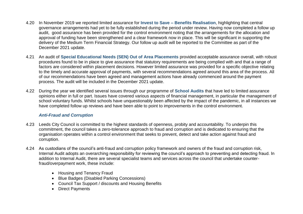- 4.20 In November 2019 we reported limited assurance for **Invest to Save – Benefits Realisation**, highlighting that central governance arrangements had yet to be fully established during the period under review. Having now completed a follow up audit, good assurance has been provided for the control environment noting that the arrangements for the allocation and approval of funding have been strengthened and a clear framework now in place. This will be significant in supporting the delivery of the Medium Term Financial Strategy. Our follow up audit will be reported to the Committee as part of the December 2021 update.
- 4.21 An audit of **Special Educational Needs (SEN) Out of Area Placements** provided acceptable assurance overall, with robust procedures found to be in place to give assurance that statutory requirements are being complied with and that a range of factors are considered within placement decisions. However limited assurance was provided for a specific objective relating to the timely and accurate approval of payments, with several recommendations agreed around this area of the process. All of our recommendations have been agreed and management actions have already commenced around the payment process. The audit will be included in the December 2021 update.
- 4.22 During the year we identified several issues through our programme of **School Audits** that have led to limited assurance opinions either in full or part. Issues have covered various aspects of financial management, in particular the management of school voluntary funds. Whilst schools have unquestionably been affected by the impact of the pandemic, in all instances we have completed follow up reviews and have been able to point to improvements in the control environment.

# *Anti-Fraud and Corruption*

- 4.23 Leeds City Council is committed to the highest standards of openness, probity and accountability. To underpin this commitment, the council takes a zero-tolerance approach to fraud and corruption and is dedicated to ensuring that the organisation operates within a control environment that seeks to prevent, detect and take action against fraud and corruption.
- 4.24 As custodians of the council's anti-fraud and corruption policy framework and owners of the fraud and corruption risk, Internal Audit adopts an overarching responsibility for reviewing the council's approach to preventing and detecting fraud. In addition to Internal Audit, there are several specialist teams and services across the council that undertake counterfraud/overpayment work, these include:
	- Housing and Tenancy Fraud
	- Blue Badges (Disabled Parking Concessions)
	- Council Tax Support / discounts and Housing Benefits
	- Direct Payments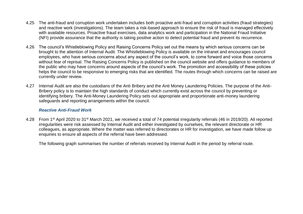- 4.25 The anti-fraud and corruption work undertaken includes both proactive anti-fraud and corruption activities (fraud strategies) and reactive work (investigations). The team takes a risk-based approach to ensure the risk of fraud is managed effectively with available resources. Proactive fraud exercises, data analytics work and participation in the National Fraud Initiative (NFI) provide assurance that the authority is taking positive action to detect potential fraud and prevent its recurrence.
- 4.26 The council's Whistleblowing Policy and Raising Concerns Policy set out the means by which serious concerns can be brought to the attention of Internal Audit. The Whistleblowing Policy is available on the intranet and encourages council employees, who have serious concerns about any aspect of the council's work, to come forward and voice those concerns without fear of reprisal. The Raising Concerns Policy is published on the council website and offers guidance to members of the public who may have concerns around aspects of the council's work. The promotion and accessibility of these policies helps the council to be responsive to emerging risks that are identified. The routes through which concerns can be raised are currently under review.
- 4.27 Internal Audit are also the custodians of the Anti Bribery and the Anti Money Laundering Policies. The purpose of the Anti-Bribery policy is to maintain the high standards of conduct which currently exist across the council by preventing or identifying bribery. The Anti-Money Laundering Policy sets out appropriate and proportionate anti-money laundering safeguards and reporting arrangements within the council.

# *Reactive Anti-Fraud Work*

4.28 From 1<sup>st</sup> April 2020 to 31<sup>st</sup> March 2021, we received a total of 74 potential irregularity referrals (46 in 2019/20). All reported irregularities were risk assessed by Internal Audit and either investigated by ourselves, the relevant directorate or HR colleagues, as appropriate. Where the matter was referred to directorates or HR for investigation, we have made follow up enquiries to ensure all aspects of the referral have been addressed.

The following graph summarises the number of referrals received by Internal Audit in the period by referral route.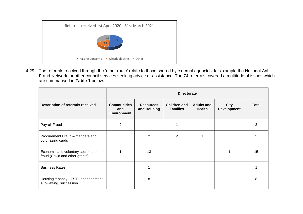

4.29 The referrals received through the 'other route' relate to those shared by external agencies, for example the National Anti-Fraud Network, or other council services seeking advice or assistance. The 74 referrals covered a multitude of issues which are summarised in **Table 1** below.

|                                                                         | <b>Directorate</b>                              |                                 |                                        |                                    |                                   |              |  |  |  |
|-------------------------------------------------------------------------|-------------------------------------------------|---------------------------------|----------------------------------------|------------------------------------|-----------------------------------|--------------|--|--|--|
| <b>Description of referrals received</b>                                | <b>Communities</b><br>and<br><b>Environment</b> | <b>Resources</b><br>and Housing | <b>Children and</b><br><b>Families</b> | <b>Adults and</b><br><b>Health</b> | <b>City</b><br><b>Development</b> | <b>Total</b> |  |  |  |
| Payroll Fraud                                                           | $\overline{2}$                                  |                                 |                                        |                                    |                                   | 3            |  |  |  |
| Procurement Fraud - mandate and<br>purchasing cards                     |                                                 | 2                               | 2                                      |                                    |                                   | 5            |  |  |  |
| Economic and voluntary sector support<br>fraud (Covid and other grants) | 1                                               | 13                              |                                        |                                    |                                   | 15           |  |  |  |
| <b>Business Rates</b>                                                   |                                                 |                                 |                                        |                                    |                                   |              |  |  |  |
| Housing tenancy - RTB, abandonment,<br>sub- letting, succession         |                                                 | 8                               |                                        |                                    |                                   | 8            |  |  |  |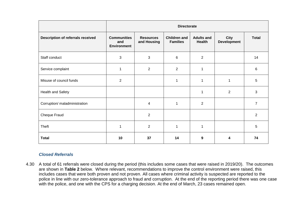|                                          | <b>Directorate</b>                              |                                 |                                        |                             |                            |                |  |  |  |
|------------------------------------------|-------------------------------------------------|---------------------------------|----------------------------------------|-----------------------------|----------------------------|----------------|--|--|--|
| <b>Description of referrals received</b> | <b>Communities</b><br>and<br><b>Environment</b> | <b>Resources</b><br>and Housing | <b>Children and</b><br><b>Families</b> | <b>Adults and</b><br>Health | City<br><b>Development</b> | <b>Total</b>   |  |  |  |
| Staff conduct                            | $\mathfrak{S}$                                  | 3                               | 6                                      | $\overline{2}$              |                            | 14             |  |  |  |
| Service complaint                        | 1                                               | $\overline{c}$                  | $\overline{2}$                         | 1                           |                            | 6              |  |  |  |
| Misuse of council funds                  | 2                                               |                                 | 1                                      | 1                           | 1                          | 5              |  |  |  |
| Health and Safety                        |                                                 |                                 |                                        | 1                           | 2                          | 3              |  |  |  |
| Corruption/ maladministration            |                                                 | 4                               | 1                                      | $\overline{2}$              |                            | $\overline{7}$ |  |  |  |
| Cheque Fraud                             |                                                 | $\overline{2}$                  |                                        |                             |                            | 2              |  |  |  |
| Theft                                    | 1                                               | $\overline{2}$                  | 1                                      | 1                           |                            | 5              |  |  |  |
| <b>Total</b>                             | 10                                              | 37                              | 14                                     | 9                           | 4                          | 74             |  |  |  |

# *Closed Referrals*

4.30 A total of 61 referrals were closed during the period (this includes some cases that were raised in 2019/20). The outcomes are shown in **Table 2** below. Where relevant, recommendations to improve the control environment were raised, this includes cases that were both proven and not proven. All cases where criminal activity is suspected are reported to the police in line with our zero-tolerance approach to fraud and corruption. At the end of the reporting period there was one case with the police, and one with the CPS for a charging decision. At the end of March, 23 cases remained open.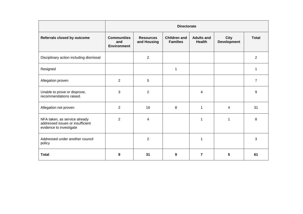|                                                                                              | <b>Directorate</b>                              |                                 |                                        |                                    |                                   |                |  |  |
|----------------------------------------------------------------------------------------------|-------------------------------------------------|---------------------------------|----------------------------------------|------------------------------------|-----------------------------------|----------------|--|--|
| Referrals closed by outcome                                                                  | <b>Communities</b><br>and<br><b>Environment</b> | <b>Resources</b><br>and Housing | <b>Children and</b><br><b>Families</b> | <b>Adults and</b><br><b>Health</b> | <b>City</b><br><b>Development</b> | <b>Total</b>   |  |  |
| Disciplinary action including dismissal                                                      |                                                 | $\overline{2}$                  |                                        |                                    |                                   | $\overline{2}$ |  |  |
| Resigned                                                                                     |                                                 |                                 | 1                                      |                                    |                                   | 1              |  |  |
| Allegation proven                                                                            | $\overline{2}$                                  | 5                               |                                        |                                    |                                   | $\overline{7}$ |  |  |
| Unable to prove or disprove,<br>recommendations raised.                                      | 3                                               | $\overline{2}$                  |                                        | 4                                  |                                   | 9              |  |  |
| Allegation not proven                                                                        | $\overline{2}$                                  | 16                              | 8                                      | 1                                  | 4                                 | 31             |  |  |
| NFA taken, as service already<br>addressed issues or insufficient<br>evidence to investigate | $\overline{2}$                                  | 4                               |                                        | 1                                  | 1                                 | 8              |  |  |
| Addressed under another council<br>policy                                                    |                                                 | $\overline{c}$                  |                                        | 1                                  |                                   | 3              |  |  |
| <b>Total</b>                                                                                 | 9                                               | 31                              | 9                                      | 7                                  | 5                                 | 61             |  |  |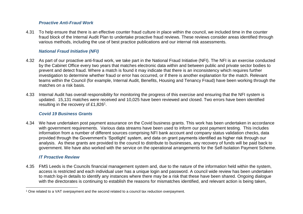# *Proactive Anti-Fraud Work*

4.31 To help ensure that there is an effective counter fraud culture in place within the council, we included time in the counter fraud block of the Internal Audit Plan to undertake proactive fraud reviews. These reviews consider areas identified through various methods, including the use of best practice publications and our internal risk assessments.

# *National Fraud Initiative (NFI)*

- 4.32 As part of our proactive anti-fraud work, we take part in the National Fraud Initiative (NFI). The NFI is an exercise conducted by the Cabinet Office every two years that matches electronic data within and between public and private sector bodies to prevent and detect fraud. Where a match is found it may indicate that there is an inconsistency which requires further investigation to determine whether fraud or error has occurred, or if there is another explanation for the match. Relevant teams within the Council (for example, Internal Audit, Benefits, Housing and Tenancy Fraud) have been working through the matches on a risk basis.
- 4.33 Internal Audit has overall responsibility for monitoring the progress of this exercise and ensuring that the NFI system is updated. 15,131 matches were received and 10,025 have been reviewed and closed. Two errors have been identified resulting in the recovery of £1,826<sup>1</sup>.

# *Covid 19 Business Grants*

4.34 We have undertaken post payment assurance on the Covid business grants. This work has been undertaken in accordance with government requirements. Various data streams have been used to inform our post payment testing. This includes information from a number of different sources comprising NFI bank account and company status validation checks, data provided through the Government's 'Spotlight' system, and data on grant payments identified as higher risk through our analysis. As these grants are provided to the council to distribute to businesses, any recovery of funds will be paid back to government. We have also worked with the service on the operational arrangements for the Self-Isolation Payment Scheme.

# *IT Proactive Review*

 $\overline{\phantom{a}}$ 

4.35 FMS Leeds is the Councils financial management system and, due to the nature of the information held within the system, access is restricted and each individual user has a unique login and password. A council wide review has been undertaken to match log-in details to identify any instances where there may be a risk that these have been shared. Ongoing dialogue with the directorates is continuing to establish the reasons for mismatches identified, and relevant action is being taken,

<sup>1</sup> One related to a VAT overpayment and the second related to a council tax reduction overpayment.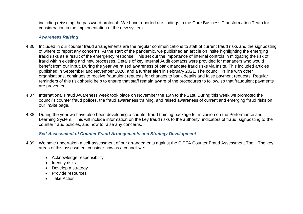including reissuing the password protocol. We have reported our findings to the Core Business Transformation Team for consideration in the implementation of the new system.

#### *Awareness Raising*

- 4.36 Included in our counter fraud arrangements are the regular communications to staff of current fraud risks and the signposting of where to report any concerns. At the start of the pandemic, we published an article on Insite highlighting the emerging fraud risks as a result of the emergency response. This set out the importance of internal controls in mitigating the risk of fraud within existing and new processes. Details of key Internal Audit contacts were provided for managers who would benefit from our input. During the year we raised awareness of bank mandate fraud risks via Insite. This included articles published in September and November 2020, and a further alert in February 2021. The council, in line with other organisations, continues to receive fraudulent requests for changes to bank details and false payment requests. Regular reminders of this risk should help to ensure that staff remain aware of the procedures to follow, so that fraudulent payments are prevented.
- 4.37 International Fraud Awareness week took place on November the 15th to the 21st. During this week we promoted the council's counter fraud polices, the fraud awareness training, and raised awareness of current and emerging fraud risks on our InSite page.
- 4.38 During the year we have also been developing a counter fraud training package for inclusion on the Performance and Learning System. This will include information on the key fraud risks to the authority, indicators of fraud, signposting to the counter fraud policies, and how to raise any concerns.

# *Self-Assessment of Counter Fraud Arrangements and Strategy Development*

- 4.39 We have undertaken a self-assessment of our arrangements against the CIPFA Counter Fraud Assessment Tool. The key areas of this assessment consider how as a council we:
	- Acknowledge responsibility
	- Identify risks
	- Develop a strategy
	- Provide resources
	- Take Action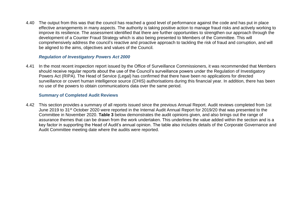4.40 The output from this was that the council has reached a good level of performance against the code and has put in place effective arrangements in many aspects. The authority is taking positive action to manage fraud risks and actively working to improve its resilience. The assessment identified that there are further opportunities to strengthen our approach through the development of a Counter Fraud Strategy which is also being presented to Members of the Committee. This will comprehensively address the council's reactive and proactive approach to tackling the risk of fraud and corruption, and will be aligned to the aims, objectives and values of the Council.

### *Regulation of Investigatory Powers Act 2000*

4.41 In the most recent inspection report issued by the Office of Surveillance Commissioners, it was recommended that Members should receive regular reports about the use of the Council's surveillance powers under the Regulation of Investigatory Powers Act (RIPA). The Head of Service (Legal) has confirmed that there have been no applications for directed surveillance or covert human intelligence source (CHIS) authorisations during this financial year. In addition, there has been no use of the powers to obtain communications data over the same period.

#### **Summary of Completed Audit Reviews**

4.42 This section provides a summary of all reports issued since the previous Annual Report. Audit reviews completed from 1st June 2019 to 31st October 2020 were reported in the Internal Audit Annual Report for 2019/20 that was presented to the Committee in November 2020. **Table 3** below demonstrates the audit opinions given, and also brings out the range of assurance themes that can be drawn from the work undertaken. This underlines the value added within the section and is a key factor in supporting the Head of Audit's annual opinion. The table also includes details of the Corporate Governance and Audit Committee meeting date where the audits were reported.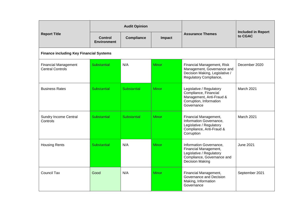|                                                        |                                      | <b>Audit Opinion</b> |              |                                                                                                                               |                                      |
|--------------------------------------------------------|--------------------------------------|----------------------|--------------|-------------------------------------------------------------------------------------------------------------------------------|--------------------------------------|
| <b>Report Title</b>                                    | <b>Control</b><br><b>Environment</b> | <b>Compliance</b>    | Impact       | <b>Assurance Themes</b>                                                                                                       | <b>Included in Report</b><br>to CGAC |
| <b>Finance including Key Financial Systems</b>         |                                      |                      |              |                                                                                                                               |                                      |
| <b>Financial Management</b><br><b>Central Controls</b> | Substantial                          | N/A                  | <b>Minor</b> | Financial Management, Risk<br>Management, Governance and<br>Decision Making, Legislative /<br>Regulatory Compliance,          | December 2020                        |
| <b>Business Rates</b>                                  | Substantial                          | <b>Substantial</b>   | <b>Minor</b> | Legislative / Regulatory<br>Compliance, Financial<br>Management, Anti-Fraud &<br>Corruption, Information<br>Governance        | March 2021                           |
| <b>Sundry Income Central</b><br>Controls               | Substantial                          | <b>Substantial</b>   | <b>Minor</b> | Financial Management,<br>Information Governance,<br>Legislative / Regulatory<br>Compliance, Anti-Fraud &<br>Corruption        | March 2021                           |
| <b>Housing Rents</b>                                   | Substantial                          | N/A                  | <b>Minor</b> | Information Governance,<br>Financial Management,<br>Legislative / Regulatory<br>Compliance, Governance and<br>Decision Making | <b>June 2021</b>                     |
| <b>Council Tax</b>                                     | Good                                 | N/A                  | <b>Minor</b> | Financial Management,<br>Governance and Decision<br>Making, Information<br>Governance                                         | September 2021                       |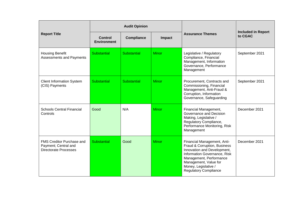|                                                                                   |                                      | <b>Audit Opinion</b> |              |                                                                                                                                                                                                                                        |                                      |
|-----------------------------------------------------------------------------------|--------------------------------------|----------------------|--------------|----------------------------------------------------------------------------------------------------------------------------------------------------------------------------------------------------------------------------------------|--------------------------------------|
| <b>Report Title</b>                                                               | <b>Control</b><br><b>Environment</b> | <b>Compliance</b>    | Impact       | <b>Assurance Themes</b>                                                                                                                                                                                                                | <b>Included in Report</b><br>to CGAC |
| <b>Housing Benefit</b><br>Assessments and Payments                                | Substantial                          | Substantial          | <b>Minor</b> | Legislative / Regulatory<br>Compliance, Financial<br>Management, Information<br>Governance, Performance<br>Management                                                                                                                  | September 2021                       |
| <b>Client Information System</b><br>(CIS) Payments                                | Substantial                          | Substantial          | <b>Minor</b> | Procurement, Contracts and<br>Commissioning, Financial<br>Management, Anti-Fraud &<br>Corruption, Information<br>Governance, Safeguarding                                                                                              | September 2021                       |
| <b>Schools Central Financial</b><br>Controls                                      | Good                                 | N/A                  | <b>Minor</b> | Financial Management,<br>Governance and Decision<br>Making, Legislative /<br>Regulatory Compliance,<br>Performance Monitoring, Risk<br>Management                                                                                      | December 2021                        |
| FMS Creditor Purchase and<br>Payment; Central and<br><b>Directorate Processes</b> | Substantial                          | Good                 | <b>Minor</b> | Financial Management, Anti-<br>Fraud & Corruption, Business<br>Innovation and Development,<br>Information Governance, Risk<br>Management, Performance<br>Management, Value for<br>Money, Legislative /<br><b>Regulatory Compliance</b> | December 2021                        |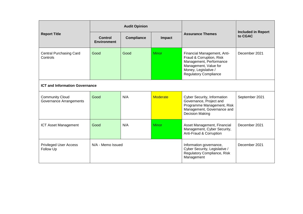|                                                   |                                      | <b>Audit Opinion</b> |                 |                                                                                                                                                                     |                                      |
|---------------------------------------------------|--------------------------------------|----------------------|-----------------|---------------------------------------------------------------------------------------------------------------------------------------------------------------------|--------------------------------------|
| <b>Report Title</b>                               | <b>Control</b><br><b>Environment</b> | <b>Compliance</b>    | Impact          | <b>Assurance Themes</b>                                                                                                                                             | <b>Included in Report</b><br>to CGAC |
| <b>Central Purchasing Card</b><br>Controls        | Good                                 | Good                 | <b>Minor</b>    | Financial Management, Anti-<br>Fraud & Corruption, Risk<br>Management, Performance<br>Management, Value for<br>Money, Legislative /<br><b>Regulatory Compliance</b> | December 2021                        |
| <b>ICT and Information Governance</b>             |                                      |                      |                 |                                                                                                                                                                     |                                      |
| <b>Community Cloud</b><br>Governance Arrangements | Good                                 | N/A                  | <b>Moderate</b> | Cyber Security, Information<br>Governance, Project and<br>Programme Management, Risk<br>Management, Governance and<br><b>Decision Making</b>                        | September 2021                       |
| <b>ICT Asset Management</b>                       | Good                                 | N/A                  | <b>Minor</b>    | Asset Management, Financial<br>Management, Cyber Security,<br>Anti-Fraud & Corruption                                                                               | December 2021                        |
| <b>Privileged User Access</b><br>Follow Up        | N/A - Memo Issued                    |                      |                 | Information governance,<br>Cyber Security, Legislative /<br>Regulatory Compliance, Risk<br>Management                                                               | December 2021                        |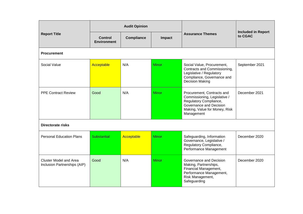|                                                               |                                      | <b>Audit Opinion</b> |              |                                                                                                                                                                |                                      |
|---------------------------------------------------------------|--------------------------------------|----------------------|--------------|----------------------------------------------------------------------------------------------------------------------------------------------------------------|--------------------------------------|
| <b>Report Title</b>                                           | <b>Control</b><br><b>Environment</b> | <b>Compliance</b>    | Impact       | <b>Assurance Themes</b>                                                                                                                                        | <b>Included in Report</b><br>to CGAC |
| <b>Procurement</b>                                            |                                      |                      |              |                                                                                                                                                                |                                      |
| Social Value                                                  | Acceptable                           | N/A                  | <b>Minor</b> | Social Value, Procurement,<br>Contracts and Commissioning,<br>Legislative / Regulatory<br>Compliance, Governance and<br>Decision Making                        | September 2021                       |
| <b>PPE Contract Review</b>                                    | Good                                 | N/A                  | <b>Minor</b> | Procurement, Contracts and<br>Commissioning, Legislative /<br>Regulatory Compliance,<br>Governance and Decision<br>Making, Value for Money, Risk<br>Management | December 2021                        |
| <b>Directorate risks</b>                                      |                                      |                      |              |                                                                                                                                                                |                                      |
| <b>Personal Education Plans</b>                               | <b>Substantial</b>                   | Acceptable           | <b>Minor</b> | Safeguarding, Information<br>Governance, Legislative /<br>Regulatory Compliance,<br>Performance Management                                                     | December 2020                        |
| <b>Cluster Model and Area</b><br>Inclusion Partnerships (AIP) | Good                                 | N/A                  | <b>Minor</b> | Governance and Decision<br>Making, Partnerships,<br>Financial Management,<br>Performance Management,<br>Risk Management,<br>Safeguarding                       | December 2020                        |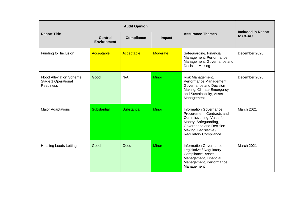|                                                                            |                               | <b>Audit Opinion</b> |                 |                                                                                                                                                                                               |                                      |
|----------------------------------------------------------------------------|-------------------------------|----------------------|-----------------|-----------------------------------------------------------------------------------------------------------------------------------------------------------------------------------------------|--------------------------------------|
| <b>Report Title</b>                                                        | Control<br><b>Environment</b> | <b>Compliance</b>    | Impact          | <b>Assurance Themes</b>                                                                                                                                                                       | <b>Included in Report</b><br>to CGAC |
| Funding for Inclusion                                                      | Acceptable                    | Acceptable           | <b>Moderate</b> | Safeguarding, Financial<br>Management, Performance<br>Management, Governance and<br><b>Decision Making</b>                                                                                    | December 2020                        |
| <b>Flood Alleviation Scheme</b><br>Stage 1 Operational<br><b>Readiness</b> | Good                          | N/A                  | <b>Minor</b>    | Risk Management,<br>Performance Management,<br>Governance and Decision<br>Making, Climate Emergency<br>and Sustainability, Asset<br>Management                                                | December 2020                        |
| <b>Major Adaptations</b>                                                   | Substantial                   | <b>Substantial</b>   | <b>Minor</b>    | Information Governance,<br>Procurement, Contracts and<br>Commissioning, Value for<br>Money, Safeguarding,<br>Governance and Decision<br>Making, Legislative /<br><b>Regulatory Compliance</b> | March 2021                           |
| <b>Housing Leeds Lettings</b>                                              | Good                          | Good                 | <b>Minor</b>    | Information Governance,<br>Legislative / Regulatory<br>Compliance, Asset<br>Management, Financial<br>Management, Performance<br>Management                                                    | March 2021                           |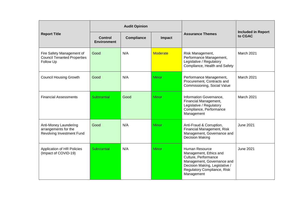|                                                                              |                                      | <b>Audit Opinion</b> |                 |                                                                                                                                                                                      |                                      |
|------------------------------------------------------------------------------|--------------------------------------|----------------------|-----------------|--------------------------------------------------------------------------------------------------------------------------------------------------------------------------------------|--------------------------------------|
| <b>Report Title</b>                                                          | <b>Control</b><br><b>Environment</b> | <b>Compliance</b>    | Impact          | <b>Assurance Themes</b>                                                                                                                                                              | <b>Included in Report</b><br>to CGAC |
| Fire Safety Management of<br><b>Council Tenanted Properties</b><br>Follow Up | Good                                 | N/A                  | <b>Moderate</b> | Risk Management,<br>Performance Management,<br>Legislative / Regulatory<br>Compliance, Health and Safety                                                                             | March 2021                           |
| <b>Council Housing Growth</b>                                                | Good                                 | N/A                  | <b>Minor</b>    | Performance Management,<br>Procurement, Contracts and<br>Commissioning, Social Value                                                                                                 | March 2021                           |
| <b>Financial Assessments</b>                                                 | Substantial                          | Good                 | <b>Minor</b>    | Information Governance,<br>Financial Management,<br>Legislative / Regulatory<br>Compliance, Performance<br>Management                                                                | March 2021                           |
| Anti-Money Laundering<br>arrangements for the<br>Revolving Investment Fund   | Good                                 | N/A                  | <b>Minor</b>    | Anti-Fraud & Corruption,<br>Financial Management, Risk<br>Management, Governance and<br><b>Decision Making</b>                                                                       | <b>June 2021</b>                     |
| Application of HR Policies<br>(Impact of COVID-19)                           | Substantial                          | N/A                  | <b>Minor</b>    | <b>Human Resource</b><br>Management, Ethics and<br>Culture, Performance<br>Management, Governance and<br>Decision Making, Legislative /<br>Regulatory Compliance, Risk<br>Management | <b>June 2021</b>                     |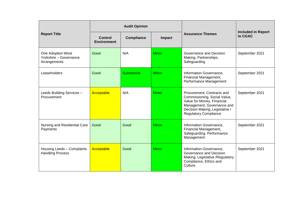|                                                             |                                      | <b>Audit Opinion</b> |              |                                                                                                                                                                                          |                                      |
|-------------------------------------------------------------|--------------------------------------|----------------------|--------------|------------------------------------------------------------------------------------------------------------------------------------------------------------------------------------------|--------------------------------------|
| <b>Report Title</b>                                         | <b>Control</b><br><b>Environment</b> | <b>Compliance</b>    | Impact       | <b>Assurance Themes</b>                                                                                                                                                                  | <b>Included in Report</b><br>to CGAC |
| One Adoption West<br>Yorkshire - Governance<br>Arrangements | Good                                 | N/A                  | <b>Minor</b> | Governance and Decision<br>Making, Partnerships,<br>Safeguarding                                                                                                                         | September 2021                       |
| Leaseholders                                                | Good                                 | <b>Substantial</b>   | <b>Minor</b> | Information Governance,<br>Financial Management,<br>Performance Management                                                                                                               | September 2021                       |
| Leeds Building Services -<br>Procurement                    | Acceptable                           | N/A                  | <b>Minor</b> | Procurement, Contracts and<br>Commissioning, Social Value,<br>Value for Money, Financial<br>Management, Governance and<br>Decision Making, Legislative /<br><b>Regulatory Compliance</b> | September 2021                       |
| Nursing and Residential Care<br>Payments                    | Good                                 | Good                 | <b>Minor</b> | Information Governance,<br>Financial Management,<br>Safeguarding, Performance<br>Management                                                                                              | September 2021                       |
| Housing Leeds - Complaints<br><b>Handling Process</b>       | Acceptable                           | Good                 | Minor        | Information Governance,<br>Governance and Decision<br>Making, Legislative / Regulatory<br>Compliance, Ethics and<br>Culture                                                              | September 2021                       |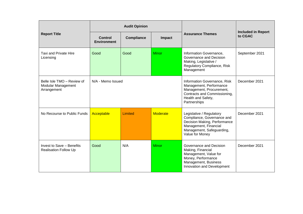|                                                                 |                               | <b>Audit Opinion</b> |                 |                                                                                                                                                                 |                                      |
|-----------------------------------------------------------------|-------------------------------|----------------------|-----------------|-----------------------------------------------------------------------------------------------------------------------------------------------------------------|--------------------------------------|
| <b>Report Title</b>                                             | Control<br><b>Environment</b> | <b>Compliance</b>    | <b>Impact</b>   | <b>Assurance Themes</b>                                                                                                                                         | <b>Included in Report</b><br>to CGAC |
| Taxi and Private Hire<br>Licensing                              | Good                          | Good                 | <b>Minor</b>    | Information Governance,<br>Governance and Decision<br>Making, Legislative /<br>Regulatory Compliance, Risk<br>Management                                        | September 2021                       |
| Belle Isle TMO - Review of<br>Modular Management<br>Arrangement | N/A - Memo Issued             |                      |                 | Information Governance, Risk<br>Management, Performance<br>Management, Procurement,<br>Contracts and Commissioning,<br>Health and Safety,<br>Partnerships       | December 2021                        |
| No Recourse to Public Funds                                     | Acceptable                    | Limited              | <b>Moderate</b> | Legislative / Regulatory<br>Compliance, Governance and<br>Decision Making, Performance<br>Management, Financial<br>Management, Safeguarding,<br>Value for Money | December 2021                        |
| Invest to Save - Benefits<br><b>Realisation Follow Up</b>       | Good                          | N/A                  | <b>Minor</b>    | Governance and Decision<br>Making, Financial<br>Management, Value for<br>Money, Performance<br>Management, Business<br>Innovation and Development               | December 2021                        |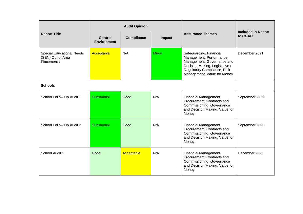|                                                                            |                                      | <b>Audit Opinion</b> |        |                                                                                                                                                                                  |                                      |
|----------------------------------------------------------------------------|--------------------------------------|----------------------|--------|----------------------------------------------------------------------------------------------------------------------------------------------------------------------------------|--------------------------------------|
| <b>Report Title</b>                                                        | <b>Control</b><br><b>Environment</b> | Compliance           | Impact | <b>Assurance Themes</b>                                                                                                                                                          | <b>Included in Report</b><br>to CGAC |
| <b>Special Educational Needs</b><br>(SEN) Out of Area<br><b>Placements</b> | Acceptable                           | N/A                  | Minor  | Safeguarding, Financial<br>Management, Performance<br>Management, Governance and<br>Decision Making, Legislative /<br>Regulatory Compliance, Risk<br>Management, Value for Money | December 2021                        |
| <b>Schools</b>                                                             |                                      |                      |        |                                                                                                                                                                                  |                                      |
| School Follow Up Audit 1                                                   | <b>Substantial</b>                   | Good                 | N/A    | Financial Management,<br>Procurement, Contracts and<br>Commissioning, Governance<br>and Decision Making, Value for<br>Money                                                      | September 2020                       |
| School Follow Up Audit 2                                                   | Substantial                          | Good                 | N/A    | Financial Management,<br>Procurement, Contracts and<br>Commissioning, Governance<br>and Decision Making, Value for<br>Money                                                      | September 2020                       |
| School Audit 1                                                             | Good                                 | Acceptable           | N/A    | Financial Management,<br>Procurement, Contracts and<br>Commissioning, Governance<br>and Decision Making, Value for<br>Money                                                      | December 2020                        |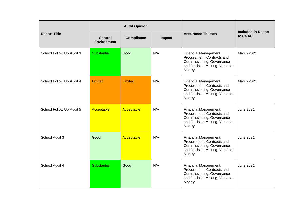|                          |                               | <b>Audit Opinion</b> |        |                                                                                                                             |                                      |
|--------------------------|-------------------------------|----------------------|--------|-----------------------------------------------------------------------------------------------------------------------------|--------------------------------------|
| <b>Report Title</b>      | Control<br><b>Environment</b> | <b>Compliance</b>    | Impact | <b>Assurance Themes</b>                                                                                                     | <b>Included in Report</b><br>to CGAC |
| School Follow Up Audit 3 | Substantial                   | Good                 | N/A    | Financial Management,<br>Procurement, Contracts and<br>Commissioning, Governance<br>and Decision Making, Value for<br>Money | March 2021                           |
| School Follow Up Audit 4 | Limited                       | Limited              | N/A    | Financial Management,<br>Procurement, Contracts and<br>Commissioning, Governance<br>and Decision Making, Value for<br>Money | March 2021                           |
| School Follow Up Audit 5 | Acceptable                    | Acceptable           | N/A    | Financial Management,<br>Procurement, Contracts and<br>Commissioning, Governance<br>and Decision Making, Value for<br>Money | <b>June 2021</b>                     |
| School Audit 3           | Good                          | Acceptable           | N/A    | Financial Management,<br>Procurement, Contracts and<br>Commissioning, Governance<br>and Decision Making, Value for<br>Money | <b>June 2021</b>                     |
| School Audit 4           | Substantial                   | Good                 | N/A    | Financial Management,<br>Procurement, Contracts and<br>Commissioning, Governance<br>and Decision Making, Value for<br>Money | <b>June 2021</b>                     |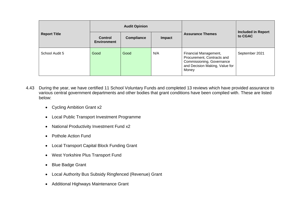|                     |                                      | <b>Audit Opinion</b> |               |                                                                                                                             |                                      |
|---------------------|--------------------------------------|----------------------|---------------|-----------------------------------------------------------------------------------------------------------------------------|--------------------------------------|
| <b>Report Title</b> | <b>Control</b><br><b>Environment</b> | <b>Compliance</b>    | <b>Impact</b> | <b>Assurance Themes</b>                                                                                                     | <b>Included in Report</b><br>to CGAC |
| School Audit 5      | Good                                 | Good                 | N/A           | Financial Management,<br>Procurement, Contracts and<br>Commissioning, Governance<br>and Decision Making, Value for<br>Money | September 2021                       |

- 4.43 During the year, we have certified 11 School Voluntary Funds and completed 13 reviews which have provided assurance to various central government departments and other bodies that grant conditions have been complied with. These are listed below:
	- Cycling Ambition Grant x2
	- Local Public Transport Investment Programme
	- National Productivity Investment Fund x2
	- Pothole Action Fund
	- Local Transport Capital Block Funding Grant
	- West Yorkshire Plus Transport Fund
	- Blue Badge Grant
	- Local Authority Bus Subsidy Ringfenced (Revenue) Grant
	- Additional Highways Maintenance Grant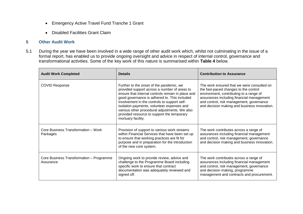- Emergency Active Travel Fund Tranche 1 Grant
- Disabled Facilities Grant Claim

# **5 Other Audit Work**

5.1 During the year we have been involved in a wide range of other audit work which, whilst not culminating in the issue of a formal report, has enabled us to provide ongoing oversight and advice in respect of internal control, governance and transformational activities. Some of the key work of this nature is summarised within **Table 4** below.

| <b>Audit Work Completed</b>                           | <b>Details</b>                                                                                                                                                                                                                                                                                                                                                                                                   | <b>Contribution to Assurance</b>                                                                                                                                                                                                                                        |
|-------------------------------------------------------|------------------------------------------------------------------------------------------------------------------------------------------------------------------------------------------------------------------------------------------------------------------------------------------------------------------------------------------------------------------------------------------------------------------|-------------------------------------------------------------------------------------------------------------------------------------------------------------------------------------------------------------------------------------------------------------------------|
| <b>COVID Response</b>                                 | Further to the onset of the pandemic, we<br>provided support across a number of areas to<br>ensure that internal controls remain in place and<br>good governance is adhered to. This included<br>involvement in the controls to support self-<br>isolation payments, volunteer expenses and<br>various other procedural adjustments. We also<br>provided resource to support the temporary<br>mortuary facility. | The work ensured that we were consulted on<br>the fast-paced changes to the control<br>environment, contributing to a range of<br>assurances including financial management<br>and control, risk management, governance<br>and decision making and business innovation. |
| Core Business Transformation - Work<br>Packages       | Provision of support to various work streams<br>within Financial Services that have been set up<br>to ensure that working practices are fit for<br>purpose and in preparation for the introduction<br>of the new core system.                                                                                                                                                                                    | The work contributes across a range of<br>assurances including financial management<br>and control, risk management, governance<br>and decision making and business innovation.                                                                                         |
| Core Business Transformation - Programme<br>Assurance | Ongoing work to provide review, advice and<br>challenge to the Programme Board including<br>specific work to ensure that contract<br>documentation was adequately reviewed and<br>signed off.                                                                                                                                                                                                                    | The work contributes across a range of<br>assurances including financial management<br>and control, risk management, governance<br>and decision making, programme<br>management and contracts and procurement.                                                          |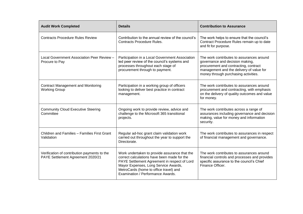| <b>Audit Work Completed</b>                                                       | <b>Details</b>                                                                                                                                                                                                                                                      | <b>Contribution to Assurance</b>                                                                                                                                                                          |
|-----------------------------------------------------------------------------------|---------------------------------------------------------------------------------------------------------------------------------------------------------------------------------------------------------------------------------------------------------------------|-----------------------------------------------------------------------------------------------------------------------------------------------------------------------------------------------------------|
| <b>Contracts Procedure Rules Review</b>                                           | Contribution to the annual review of the council's<br><b>Contracts Procedure Rules.</b>                                                                                                                                                                             | The work helps to ensure that the council's<br>Contract Procedure Rules remain up to date<br>and fit for purpose.                                                                                         |
| Local Government Association Peer Review -<br>Procure to Pay                      | Participation in a Local Government Association<br>led peer review of the council's systems and<br>processes throughout each stage of<br>procurement through to payment.                                                                                            | The work contributes to assurances around<br>governance and decision making,<br>procurement and contracting, contract<br>management and the delivery of value for<br>money through purchasing activities. |
| <b>Contract Management and Monitoring</b><br><b>Working Group</b>                 | Participation in a working group of officers<br>looking to deliver best practice in contract<br>management.                                                                                                                                                         | The work contributes to assurances around<br>procurement and contracting, with emphasis<br>on the delivery of quality outcomes and value<br>for money.                                                    |
| <b>Community Cloud Executive Steering</b><br>Committee                            | Ongoing work to provide review, advice and<br>challenge to the Microsoft 365 transitional<br>projects.                                                                                                                                                              | The work contributes across a range of<br>assurances including governance and decision<br>making, value for money and information<br>security.                                                            |
| Children and Families - Families First Grant<br>Validation                        | Regular ad-hoc grant claim validation work<br>carried out throughout the year to support the<br>Directorate.                                                                                                                                                        | The work contributes to assurances in respect<br>of financial management and governance.                                                                                                                  |
| Verification of contribution payments to the<br>PAYE Settlement Agreement 2020/21 | Work undertaken to provide assurance that the<br>correct calculations have been made for the<br>PAYE Settlement Agreement in respect of Lord<br>Mayor Expenses, Long Service Awards,<br>MetroCards (home to office travel) and<br>Examination / Performance Awards. | The work contributes to assurances around<br>financial controls and processes and provides<br>specific assurance to the council's Chief<br>Finance Officer.                                               |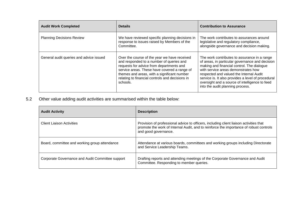| <b>Audit Work Completed</b>             | <b>Details</b>                                                                                                                                                                                                                                                                                     | <b>Contribution to Assurance</b>                                                                                                                                                                                                                                                                                                                                            |
|-----------------------------------------|----------------------------------------------------------------------------------------------------------------------------------------------------------------------------------------------------------------------------------------------------------------------------------------------------|-----------------------------------------------------------------------------------------------------------------------------------------------------------------------------------------------------------------------------------------------------------------------------------------------------------------------------------------------------------------------------|
| <b>Planning Decisions Review</b>        | We have reviewed specific planning decisions in<br>response to issues raised by Members of the<br>Committee.                                                                                                                                                                                       | The work contributes to assurances around<br>legislative and regulatory compliance,<br>alongside governance and decision making.                                                                                                                                                                                                                                            |
| General audit queries and advice issued | Over the course of the year we have received<br>and responded to a number of queries and<br>requests for advice from departments and<br>service areas. These have covered a range of<br>themes and areas, with a significant number<br>relating to financial controls and decisions in<br>schools. | The work contributes to assurance in a range<br>of areas, in particular governance and decision<br>making and financial control. The dialogue<br>with service areas demonstrates how<br>respected and valued the Internal Audit<br>service is. It also provides a level of procedural<br>oversight and a source of intelligence to feed<br>into the audit planning process. |

5.2 Other value adding audit activities are summarised within the table below:

| <b>Audit Activity</b>                            | <b>Description</b>                                                                                                                                                                                       |
|--------------------------------------------------|----------------------------------------------------------------------------------------------------------------------------------------------------------------------------------------------------------|
| <b>Client Liaison Activities</b>                 | Provision of professional advice to officers, including client liaison activities that<br>promote the work of Internal Audit, and to reinforce the importance of robust controls<br>and good governance. |
| Board, committee and working group attendance    | Attendance at various boards, committees and working groups including Directorate<br>and Service Leadership Teams.                                                                                       |
| Corporate Governance and Audit Committee support | Drafting reports and attending meetings of the Corporate Governance and Audit<br>Committee. Responding to member queries.                                                                                |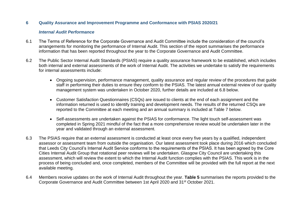# **6 Quality Assurance and Improvement Programme and Conformance with PSIAS 2020/21**

# *Internal Audit Performance*

- 6.1 The Terms of Reference for the Corporate Governance and Audit Committee include the consideration of the council's arrangements for monitoring the performance of Internal Audit. This section of the report summarises the performance information that has been reported throughout the year to the Corporate Governance and Audit Committee.
- 6.2 The Public Sector Internal Audit Standards (PSIAS) require a quality assurance framework to be established, which includes both internal and external assessments of the work of Internal Audit. The activities we undertake to satisfy the requirements for internal assessments include:
	- Ongoing supervision, performance management, quality assurance and regular review of the procedures that guide staff in performing their duties to ensure they conform to the PSIAS. The latest annual external review of our quality management system was undertaken in October 2020, further details are included at 6.8 below.
	- Customer Satisfaction Questionnaires (CSQs) are issued to clients at the end of each assignment and the information returned is used to identify training and development needs. The results of the returned CSQs are reported to the Committee at each meeting and an annual summary is included at Table 7 below.
	- Self-assessments are undertaken against the PSIAS for conformance. The light touch self-assessment was completed in Spring 2021 mindful of the fact that a more comprehensive review would be undertaken later in the year and validated through an external assessment.
- 6.3 The PSIAS require that an external assessment is conducted at least once every five years by a qualified, independent assessor or assessment team from outside the organisation. Our latest assessment took place during 2016 which concluded that Leeds City Council's Internal Audit Service conforms to the requirements of the PSIAS. It has been agreed by the Core Cities Internal Audit Group that rotational peer reviews will be undertaken. Glasgow City Council are undertaking this assessment, which will review the extent to which the Internal Audit function complies with the PSIAS. This work is in the process of being concluded and, once completed, members of the Committee will be provided with the full report at the next available meeting.
- 6.4 Members receive updates on the work of Internal Audit throughout the year. **Table 5** summarises the reports provided to the Corporate Governance and Audit Committee between 1st April 2020 and 31st October 2021.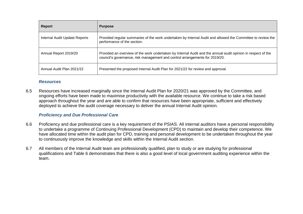| <b>Report</b>                 | <b>Purpose</b>                                                                                                                                                                              |
|-------------------------------|---------------------------------------------------------------------------------------------------------------------------------------------------------------------------------------------|
| Internal Audit Update Reports | Provided regular summaries of the work undertaken by Internal Audit and allowed the Committee to review the<br>performance of the section.                                                  |
| Annual Report 2019/20         | Provided an overview of the work undertaken by Internal Audit and the annual audit opinion in respect of the<br>council's governance, risk management and control arrangements for 2019/20. |
| Annual Audit Plan 2021/22     | Presented the proposed Internal Audit Plan for 2021/22 for review and approval.                                                                                                             |

# *Resources*

6.5 Resources have increased marginally since the Internal Audit Plan for 2020/21 was approved by the Committee, and ongoing efforts have been made to maximise productivity with the available resource. We continue to take a risk based approach throughout the year and are able to confirm that resources have been appropriate, sufficient and effectively deployed to achieve the audit coverage necessary to deliver the annual Internal Audit opinion.

# *Proficiency and Due Professional Care*

- 6.6 Proficiency and due professional care is a key requirement of the PSIAS. All internal auditors have a personal responsibility to undertake a programme of Continuing Professional Development (CPD) to maintain and develop their competence. We have allocated time within the audit plan for CPD, training and personal development to be undertaken throughout the year to continuously improve the knowledge and skills within the Internal Audit section.
- 6.7 All members of the Internal Audit team are professionally qualified, plan to study or are studying for professional qualifications and Table 6 demonstrates that there is also a good level of local government auditing experience within the team.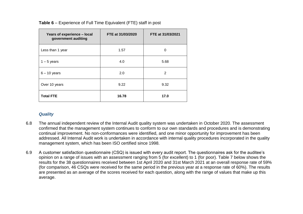| Years of experience - local<br>government auditing | FTE at 31/03/2020 | FTE at 31/03/2021 |
|----------------------------------------------------|-------------------|-------------------|
| Less than 1 year                                   | 1.57              | 0                 |
| $1 - 5$ years                                      | 4.0               | 5.68              |
| $6 - 10$ years                                     | 2.0               | 2                 |
| Over 10 years                                      | 9.22              | 9.32              |
| <b>Total FTE</b>                                   | 16.78             | 17.0              |

**Table 6** – Experience of Full Time Equivalent (FTE) staff in post

# *Quality*

- 6.8 The annual independent review of the Internal Audit quality system was undertaken in October 2020. The assessment confirmed that the management system continues to conform to our own standards and procedures and is demonstrating continual improvement. No non-conformances were identified, and one minor opportunity for improvement has been addressed. All Internal Audit work is undertaken in accordance with internal quality procedures incorporated in the quality management system, which has been ISO certified since 1998.
- 6.9 A customer satisfaction questionnaire (CSQ) is issued with every audit report. The questionnaires ask for the auditee's opinion on a range of issues with an assessment ranging from 5 (for excellent) to 1 (for poor). Table 7 below shows the results for the 38 questionnaires received between 1st April 2020 and 31st March 2021 at an overall response rate of 59% (for comparison, 46 CSQs were received for the same period in the previous year at a response rate of 60%). The results are presented as an average of the scores received for each question, along with the range of values that make up this average.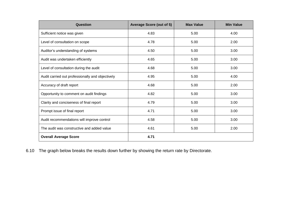| Question                                         | <b>Average Score (out of 5)</b> | <b>Max Value</b> | <b>Min Value</b> |
|--------------------------------------------------|---------------------------------|------------------|------------------|
| Sufficient notice was given                      | 4.83                            | 5.00             | 4.00             |
| Level of consultation on scope                   | 4.78                            | 5.00             | 2.00             |
| Auditor's understanding of systems               | 4.50                            | 5.00             | 3.00             |
| Audit was undertaken efficiently                 | 4.65                            | 5.00             | 3.00             |
| Level of consultation during the audit           | 4.68                            | 5.00             | 3.00             |
| Audit carried out professionally and objectively | 4.95                            | 5.00             | 4.00             |
| Accuracy of draft report                         | 4.68                            | 5.00             | 2.00             |
| Opportunity to comment on audit findings         | 4.82                            | 5.00             | 3.00             |
| Clarity and conciseness of final report          | 4.79                            | 5.00             | 3.00             |
| Prompt issue of final report                     | 4.71                            | 5.00             | 3.00             |
| Audit recommendations will improve control       | 4.58                            | 5.00             | 3.00             |
| The audit was constructive and added value       | 4.61                            | 5.00             | 2.00             |
| <b>Overall Average Score</b>                     | 4.71                            |                  |                  |

6.10 The graph below breaks the results down further by showing the return rate by Directorate.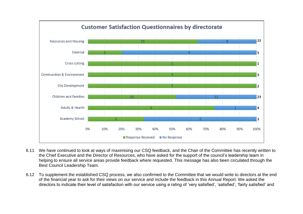

- 6.11 We have continued to look at ways of maximising our CSQ feedback, and the Chair of the Committee has recently written to the Chief Executive and the Director of Resources, who have asked for the support of the council's leadership team in helping to ensure all service areas provide feedback where requested. This message has also been circulated through the Best Council Leadership Team.
- 6.12 To supplement the established CSQ process, we also confirmed to the Committee that we would write to directors at the end of the financial year to ask for their views on our service and include the feedback in this Annual Report. We asked the directors to indicate their level of satisfaction with our service using a rating of 'very satisfied', 'satisfied', 'fairly satisfied' and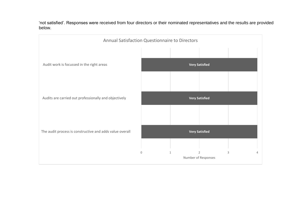'not satisfied'. Responses were received from four directors or their nominated representatives and the results are provided below.

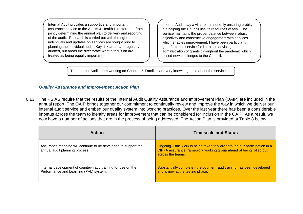Internal Audit provides a supportive and important assurance service to the Adults & Health Directorate – from jointly determining the annual plan to delivery and reporting of the audit. Research is carried out with the right individuals and updates on services are sought prior to planning the individual audit. Key risk areas are regularly audited, but areas the directorate want a focus on are treated as being equally important.

Internal Audit play a vital role in not only ensuring probity but helping the Council use its resources wisely. The service maintains the proper balance between robust objectivity and constructive engagement with services which enables improvement. I have been particularly grateful to the service for its role in advising on the administration of grants throughout the pandemic which posed new challenges to the Council.

The Internal Audit team working on Children & Families are very knowledgeable about the service.

# *Quality Assurance and Improvement Action Plan*

and the reports add value.

6.13 The PSIAS require that the results of the Internal Audit Quality Assurance and Improvement Plan (QAIP) are included in the annual report. The QAIP brings together our commitment to continually review and improve the way in which we deliver our internal audit service and embed our quality system into working practices. Over the last year there has been a considerable impetus across the team to identify areas for improvement that can be considered for inclusion in the QAIP. As a result, we now have a number of actions that are in the process of being addressed. The Action Plan is provided at Table 8 below.

| <b>Action</b>                                                                                           | <b>Timescale and Status</b>                                                                                                                                         |
|---------------------------------------------------------------------------------------------------------|---------------------------------------------------------------------------------------------------------------------------------------------------------------------|
| Assurance mapping will continue to be developed to support the<br>annual audit planning process.        | Ongoing – this work is being taken forward through our participation in a<br>CIPFA assurance framework working group ahead of being rolled out<br>across the teams. |
| Internal development of counter-fraud training for use on the<br>Performance and Learning (PAL) system. | Substantially complete - the counter fraud training has been developed<br>and is now at the testing phase.                                                          |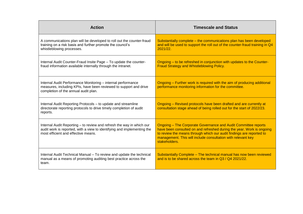| <b>Action</b>                                                                                                                                                                           | <b>Timescale and Status</b>                                                                                                                                                                                                                                                                             |
|-----------------------------------------------------------------------------------------------------------------------------------------------------------------------------------------|---------------------------------------------------------------------------------------------------------------------------------------------------------------------------------------------------------------------------------------------------------------------------------------------------------|
| A communications plan will be developed to roll out the counter-fraud<br>training on a risk basis and further promote the council's<br>whistleblowing processes.                        | Substantially complete - the communications plan has been developed<br>and will be used to support the roll out of the counter-fraud training in Q4<br>2021/22.                                                                                                                                         |
| Internal Audit Counter-Fraud Insite Page - To update the counter-<br>fraud information available internally through the intranet.                                                       | Ongoing – to be refreshed in conjunction with updates to the Counter-<br><b>Fraud Strategy and Whistleblowing Policy.</b>                                                                                                                                                                               |
| Internal Audit Performance Monitoring - internal performance<br>measures, including KPIs, have been reviewed to support and drive<br>completion of the annual audit plan.               | Ongoing - Further work is required with the aim of producing additional<br>performance monitoring information for the committee.                                                                                                                                                                        |
| Internal Audit Reporting Protocols - to update and streamline<br>directorate reporting protocols to drive timely completion of audit<br>reports.                                        | Ongoing - Revised protocols have been drafted and are currently at<br>consultation stage ahead of being rolled out for the start of 2022/23.                                                                                                                                                            |
| Internal Audit Reporting - to review and refresh the way in which our<br>audit work is reported, with a view to identifying and implementing the<br>most efficient and effective means. | <b>Ongoing - The Corporate Governance and Audit Committee reports</b><br>have been consulted on and refreshed during the year. Work is ongoing<br>to review the means through which our audit findings are reported to<br>management. This will include consultation with relevant key<br>stakeholders. |
| Internal Audit Technical Manual - To review and update the technical<br>manual as a means of promoting auditing best practice across the<br>team.                                       | Substantially Complete - The technical manual has now been reviewed<br>and is to be shared across the team in Q3 / Q4 2021/22.                                                                                                                                                                          |